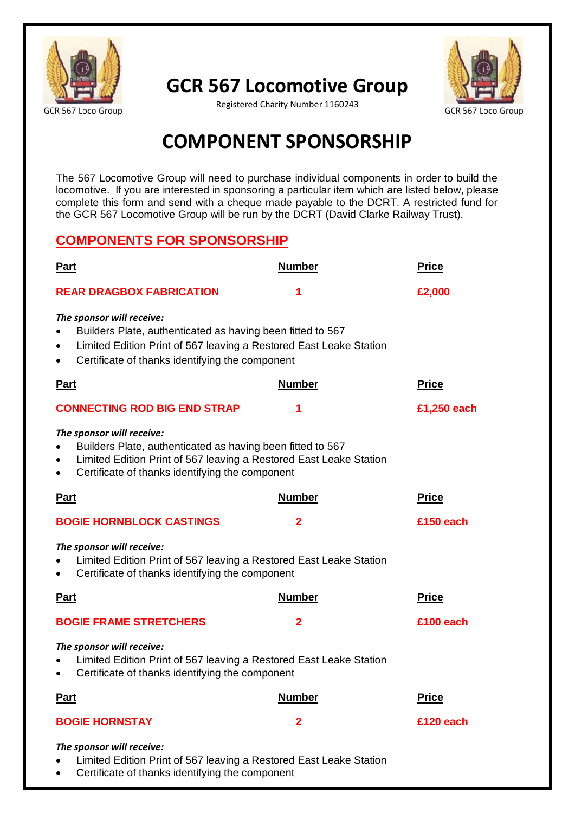

**GCR 567 Locomotive Group**



Registered Charity Number 1160243

## **COMPONENT SPONSORSHIP**

The 567 Locomotive Group will need to purchase individual components in order to build the locomotive. If you are interested in sponsoring a particular item which are listed below, please complete this form and send with a cheque made payable to the DCRT. A restricted fund for the GCR 567 Locomotive Group will be run by the DCRT (David Clarke Railway Trust).

## **COMPONENTS FOR SPONSORSHIP**

| <b>Part</b>                                                                                                                                                                                                      | <b>Number</b> | <b>Price</b> |  |
|------------------------------------------------------------------------------------------------------------------------------------------------------------------------------------------------------------------|---------------|--------------|--|
| <b>REAR DRAGBOX FABRICATION</b>                                                                                                                                                                                  | 1             | £2,000       |  |
| The sponsor will receive:<br>Builders Plate, authenticated as having been fitted to 567<br>Limited Edition Print of 567 leaving a Restored East Leake Station<br>Certificate of thanks identifying the component |               |              |  |
| <b>Part</b>                                                                                                                                                                                                      | <b>Number</b> | <b>Price</b> |  |
| <b>CONNECTING ROD BIG END STRAP</b>                                                                                                                                                                              | 1             | £1,250 each  |  |
| The sponsor will receive:<br>Builders Plate, authenticated as having been fitted to 567<br>Limited Edition Print of 567 leaving a Restored East Leake Station<br>Certificate of thanks identifying the component |               |              |  |
| <b>Part</b>                                                                                                                                                                                                      | <b>Number</b> | <b>Price</b> |  |
| <b>BOGIE HORNBLOCK CASTINGS</b>                                                                                                                                                                                  | 2             | £150 each    |  |
| The sponsor will receive:<br>Limited Edition Print of 567 leaving a Restored East Leake Station<br>Certificate of thanks identifying the component                                                               |               |              |  |
| <b>Part</b>                                                                                                                                                                                                      | <b>Number</b> | <b>Price</b> |  |
| <b>BOGIE FRAME STRETCHERS</b>                                                                                                                                                                                    | $\mathbf{2}$  | £100 each    |  |
| The sponsor will receive:<br>Limited Edition Print of 567 leaving a Restored East Leake Station<br>Certificate of thanks identifying the component                                                               |               |              |  |
| <u>Part</u>                                                                                                                                                                                                      | <b>Number</b> | <b>Price</b> |  |
| <b>BOGIE HORNSTAY</b>                                                                                                                                                                                            | $\mathbf{2}$  | £120 each    |  |
| The sponsor will receive:<br>Limited Edition Print of 567 leaving a Restored East Leake Station<br>Certificate of thanks identifying the component                                                               |               |              |  |